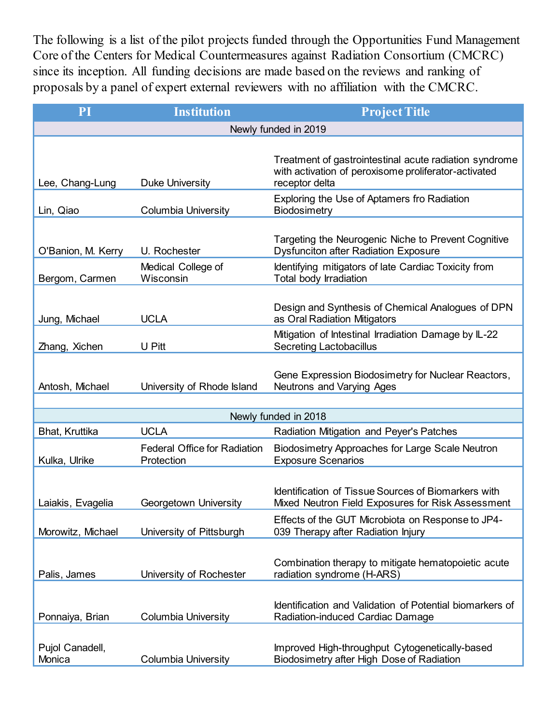The following is a list of the pilot projects funded through the Opportunities Fund Management Core of the Centers for Medical Countermeasures against Radiation Consortium (CMCRC) since its inception. All funding decisions are made based on the reviews and ranking of proposals by a panel of expert external reviewers with no affiliation with the CMCRC.

| PI                        | <b>Institution</b>                                | <b>Project Title</b>                                                                                                             |  |  |
|---------------------------|---------------------------------------------------|----------------------------------------------------------------------------------------------------------------------------------|--|--|
| Newly funded in 2019      |                                                   |                                                                                                                                  |  |  |
| Lee, Chang-Lung           | <b>Duke University</b>                            | Treatment of gastrointestinal acute radiation syndrome<br>with activation of peroxisome proliferator-activated<br>receptor delta |  |  |
| Lin, Qiao                 | <b>Columbia University</b>                        | Exploring the Use of Aptamers fro Radiation<br>Biodosimetry                                                                      |  |  |
| O'Banion, M. Kerry        | U. Rochester                                      | Targeting the Neurogenic Niche to Prevent Cognitive<br><b>Dysfunciton after Radiation Exposure</b>                               |  |  |
| Bergom, Carmen            | Medical College of<br>Wisconsin                   | Identifying mitigators of late Cardiac Toxicity from<br>Total body Irradiation                                                   |  |  |
| Jung, Michael             | <b>UCLA</b>                                       | Design and Synthesis of Chemical Analogues of DPN<br>as Oral Radiation Mitigators                                                |  |  |
| Zhang, Xichen             | U Pitt                                            | Mitigation of Intestinal Irradiation Damage by IL-22<br><b>Secreting Lactobacillus</b>                                           |  |  |
| Antosh, Michael           | University of Rhode Island                        | Gene Expression Biodosimetry for Nuclear Reactors,<br>Neutrons and Varying Ages                                                  |  |  |
|                           |                                                   | Newly funded in 2018                                                                                                             |  |  |
| Bhat, Kruttika            | <b>UCLA</b>                                       | Radiation Mitigation and Peyer's Patches                                                                                         |  |  |
| Kulka, Ulrike             | <b>Federal Office for Radiation</b><br>Protection | Biodosimetry Approaches for Large Scale Neutron<br><b>Exposure Scenarios</b>                                                     |  |  |
| Laiakis, Evagelia         | Georgetown University                             | <b>Identification of Tissue Sources of Biomarkers with</b><br>Mixed Neutron Field Exposures for Risk Assessment                  |  |  |
| Morowitz, Michael         | University of Pittsburgh                          | Effects of the GUT Microbiota on Response to JP4-<br>039 Therapy after Radiation Injury                                          |  |  |
| Palis, James              | University of Rochester                           | Combination therapy to mitigate hematopoietic acute<br>radiation syndrome (H-ARS)                                                |  |  |
| Ponnaiya, Brian           | <b>Columbia University</b>                        | Identification and Validation of Potential biomarkers of<br>Radiation-induced Cardiac Damage                                     |  |  |
| Pujol Canadell,<br>Monica | <b>Columbia University</b>                        | Improved High-throughput Cytogenetically-based<br>Biodosimetry after High Dose of Radiation                                      |  |  |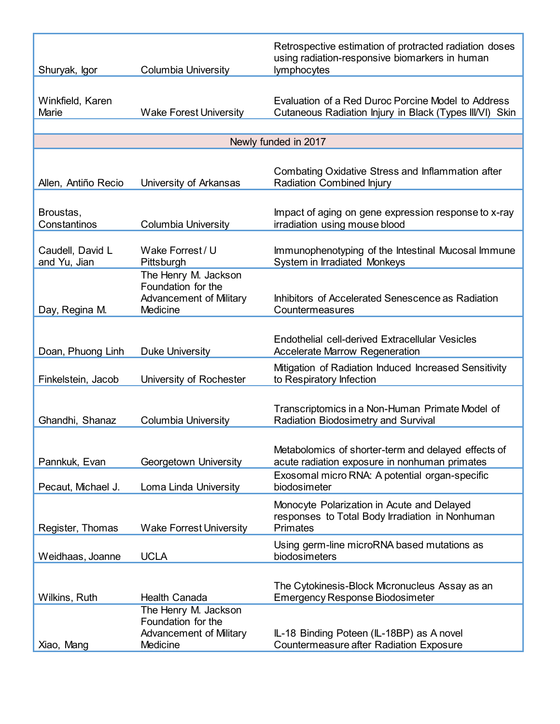|                                  |                                                                                          | Retrospective estimation of protracted radiation doses<br>using radiation-responsive biomarkers in human         |
|----------------------------------|------------------------------------------------------------------------------------------|------------------------------------------------------------------------------------------------------------------|
| Shuryak, Igor                    | <b>Columbia University</b>                                                               | lymphocytes                                                                                                      |
| Winkfield, Karen<br>Marie        | <b>Wake Forest University</b>                                                            | Evaluation of a Red Duroc Porcine Model to Address<br>Cutaneous Radiation Injury in Black (Types III/VI) Skin    |
|                                  |                                                                                          | Newly funded in 2017                                                                                             |
|                                  |                                                                                          |                                                                                                                  |
| Allen, Antiño Recio              | University of Arkansas                                                                   | <b>Combating Oxidative Stress and Inflammation after</b><br><b>Radiation Combined Injury</b>                     |
| Broustas,<br>Constantinos        | <b>Columbia University</b>                                                               | Impact of aging on gene expression response to x-ray<br>irradiation using mouse blood                            |
| Caudell, David L<br>and Yu, Jian | Wake Forrest / U<br>Pittsburgh                                                           | Immunophenotyping of the Intestinal Mucosal Immune<br>System in Irradiated Monkeys                               |
| Day, Regina M.                   | The Henry M. Jackson<br>Foundation for the<br><b>Advancement of Military</b><br>Medicine | Inhibitors of Accelerated Senescence as Radiation<br>Countermeasures                                             |
| Doan, Phuong Linh                | <b>Duke University</b>                                                                   | Endothelial cell-derived Extracellular Vesicles<br><b>Accelerate Marrow Regeneration</b>                         |
| Finkelstein, Jacob               | University of Rochester                                                                  | Mitigation of Radiation Induced Increased Sensitivity<br>to Respiratory Infection                                |
| Ghandhi, Shanaz                  | <b>Columbia University</b>                                                               | Transcriptomics in a Non-Human Primate Model of<br>Radiation Biodosimetry and Survival                           |
| Pannkuk, Evan                    | Georgetown University                                                                    | Metabolomics of shorter-term and delayed effects of<br>acute radiation exposure in nonhuman primates             |
| Pecaut, Michael J.               | Loma Linda University                                                                    | Exosomal micro RNA: A potential organ-specific<br>biodosimeter                                                   |
| Register, Thomas                 | <b>Wake Forrest University</b>                                                           | Monocyte Polarization in Acute and Delayed<br>responses to Total Body Irradiation in Nonhuman<br><b>Primates</b> |
| Weidhaas, Joanne                 | <b>UCLA</b>                                                                              | Using germ-line microRNA based mutations as<br>biodosimeters                                                     |
| Wilkins, Ruth                    | <b>Health Canada</b>                                                                     | The Cytokinesis-Block Micronucleus Assay as an<br><b>Emergency Response Biodosimeter</b>                         |
| Xiao, Mang                       | The Henry M. Jackson<br>Foundation for the<br><b>Advancement of Military</b><br>Medicine | IL-18 Binding Poteen (IL-18BP) as A novel<br><b>Countermeasure after Radiation Exposure</b>                      |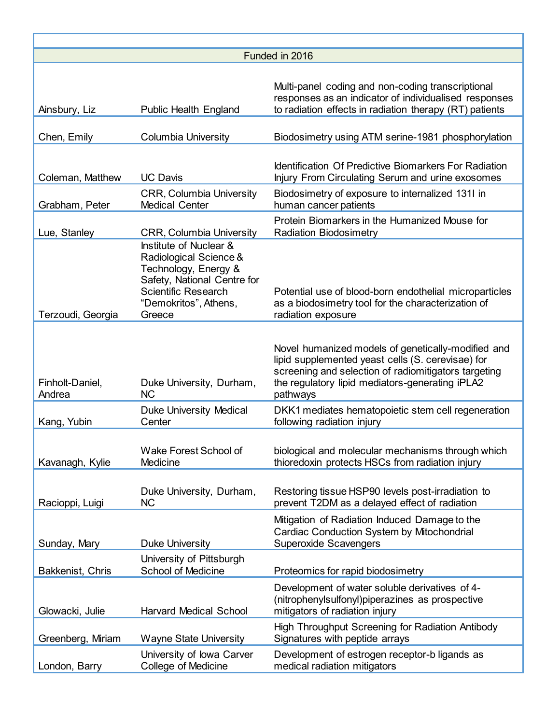| Funded in 2016            |                                                                                                                                                                          |                                                                                                                                                                                                                                |  |
|---------------------------|--------------------------------------------------------------------------------------------------------------------------------------------------------------------------|--------------------------------------------------------------------------------------------------------------------------------------------------------------------------------------------------------------------------------|--|
| Ainsbury, Liz             | <b>Public Health England</b>                                                                                                                                             | Multi-panel coding and non-coding transcriptional<br>responses as an indicator of individualised responses<br>to radiation effects in radiation therapy (RT) patients                                                          |  |
| Chen, Emily               | <b>Columbia University</b>                                                                                                                                               | Biodosimetry using ATM serine-1981 phosphorylation                                                                                                                                                                             |  |
| Coleman, Matthew          | <b>UC Davis</b>                                                                                                                                                          | <b>Identification Of Predictive Biomarkers For Radiation</b><br>Injury From Circulating Serum and urine exosomes                                                                                                               |  |
| Grabham, Peter            | <b>CRR, Columbia University</b><br><b>Medical Center</b>                                                                                                                 | Biodosimetry of exposure to internalized 131I in<br>human cancer patients                                                                                                                                                      |  |
| Lue, Stanley              | <b>CRR, Columbia University</b>                                                                                                                                          | Protein Biomarkers in the Humanized Mouse for<br><b>Radiation Biodosimetry</b>                                                                                                                                                 |  |
| Terzoudi, Georgia         | Institute of Nuclear &<br>Radiological Science &<br>Technology, Energy &<br>Safety, National Centre for<br><b>Scientific Research</b><br>"Demokritos", Athens,<br>Greece | Potential use of blood-born endothelial microparticles<br>as a biodosimetry tool for the characterization of<br>radiation exposure                                                                                             |  |
| Finholt-Daniel,<br>Andrea | Duke University, Durham,<br><b>NC</b>                                                                                                                                    | Novel humanized models of genetically-modified and<br>lipid supplemented yeast cells (S. cerevisae) for<br>screening and selection of radiomitigators targeting<br>the regulatory lipid mediators-generating iPLA2<br>pathways |  |
| Kang, Yubin               | <b>Duke University Medical</b><br>Center                                                                                                                                 | DKK1 mediates hematopoietic stem cell regeneration<br>following radiation injury                                                                                                                                               |  |
| Kavanagh, Kylie           | Wake Forest School of<br>Medicine                                                                                                                                        | biological and molecular mechanisms through which<br>thioredoxin protects HSCs from radiation injury                                                                                                                           |  |
| Racioppi, Luigi           | Duke University, Durham,<br><b>NC</b>                                                                                                                                    | Restoring tissue HSP90 levels post-irradiation to<br>prevent T2DM as a delayed effect of radiation                                                                                                                             |  |
| Sunday, Mary              | <b>Duke University</b>                                                                                                                                                   | Mitigation of Radiation Induced Damage to the<br><b>Cardiac Conduction System by Mitochondrial</b><br><b>Superoxide Scavengers</b>                                                                                             |  |
| Bakkenist, Chris          | University of Pittsburgh<br><b>School of Medicine</b>                                                                                                                    | Proteomics for rapid biodosimetry                                                                                                                                                                                              |  |
| Glowacki, Julie           | <b>Harvard Medical School</b>                                                                                                                                            | Development of water soluble derivatives of 4-<br>(nitrophenylsulfonyl)piperazines as prospective<br>mitigators of radiation injury                                                                                            |  |
| Greenberg, Miriam         | <b>Wayne State University</b>                                                                                                                                            | <b>High Throughput Screening for Radiation Antibody</b><br>Signatures with peptide arrays                                                                                                                                      |  |
| London, Barry             | University of lowa Carver<br>College of Medicine                                                                                                                         | Development of estrogen receptor-b ligands as<br>medical radiation mitigators                                                                                                                                                  |  |